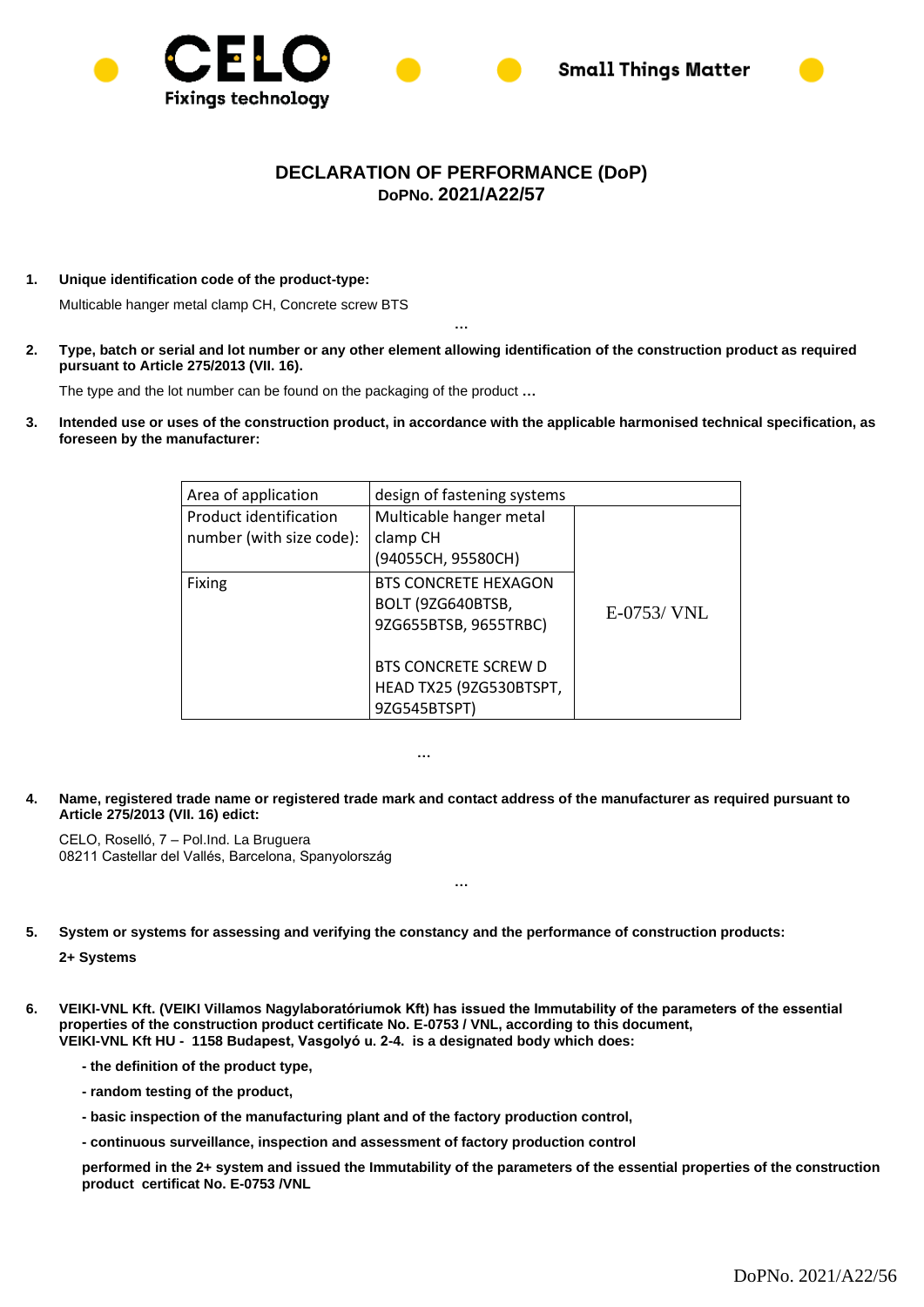



## **DECLARATION OF PERFORMANCE (DoP) DoPNo. 2021/A22/57**

**1. Unique identification code of the product-type:**

Multicable hanger metal clamp CH, Concrete screw BTS

**2. Type, batch or serial and lot number or any other element allowing identification of the construction product as required pursuant to Article 275/2013 (VII. 16).**

**…**

The type and the lot number can be found on the packaging of the product **…**

**3. Intended use or uses of the construction product, in accordance with the applicable harmonised technical specification, as foreseen by the manufacturer:** 

| Area of application                                | design of fastening systems                                               |               |
|----------------------------------------------------|---------------------------------------------------------------------------|---------------|
| Product identification<br>number (with size code): | Multicable hanger metal<br>clamp CH<br>(94055CH, 95580CH)                 |               |
| <b>Fixing</b>                                      | <b>BTS CONCRETE HEXAGON</b><br>BOLT (9ZG640BTSB,<br>9ZG655BTSB, 9655TRBC) | $E-0753/$ VNL |
|                                                    | <b>BTS CONCRETE SCREW D</b><br>HEAD TX25 (9ZG530BTSPT,<br>9ZG545BTSPT)    |               |

**…**

**4. Name, registered trade name or registered trade mark and contact address of the manufacturer as required pursuant to Article 275/2013 (VII. 16) edict:**

**…**

CELO, Roselló, 7 – Pol.Ind. La Bruguera 08211 Castellar del Vallés, Barcelona, Spanyolország

**5. System or systems for assessing and verifying the constancy and the performance of construction products:**

**2+ Systems**

**6. VEIKI-VNL Kft. (VEIKI Villamos Nagylaboratóriumok Kft) has issued the Immutability of the parameters of the essential properties of the construction product certificate No. E-0753 / VNL, according to this document, VEIKI-VNL Kft HU - 1158 Budapest, Vasgolyó u. 2-4. is a designated body which does:**

**- the definition of the product type,**

- **- random testing of the product,**
- **- basic inspection of the manufacturing plant and of the factory production control,**

**- continuous surveillance, inspection and assessment of factory production control**

**performed in the 2+ system and issued the Immutability of the parameters of the essential properties of the construction product certificat No. E-0753 /VNL**